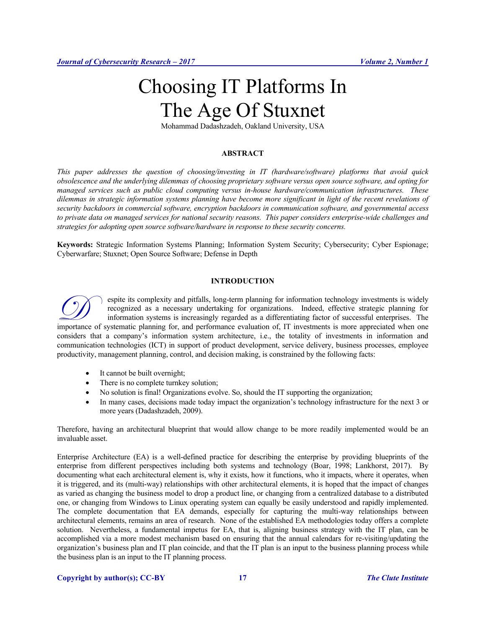# Choosing IT Platforms In The Age Of Stuxnet

Mohammad Dadashzadeh, Oakland University, USA

## **ABSTRACT**

*This paper addresses the question of choosing/investing in IT (hardware/software) platforms that avoid quick obsolescence and the underlying dilemmas of choosing proprietary software versus open source software, and opting for managed services such as public cloud computing versus in-house hardware/communication infrastructures. These dilemmas in strategic information systems planning have become more significant in light of the recent revelations of security backdoors in commercial software, encryption backdoors in communication software, and governmental access to private data on managed services for national security reasons. This paper considers enterprise-wide challenges and strategies for adopting open source software/hardware in response to these security concerns.*

**Keywords:** Strategic Information Systems Planning; Information System Security; Cybersecurity; Cyber Espionage; Cyberwarfare; Stuxnet; Open Source Software; Defense in Depth

# **INTRODUCTION**

espite its complexity and pitfalls, long-term planning for information technology investments is widely recognized as a necessary undertaking for organizations. Indeed, effective strategic planning for information systems is increasingly regarded as a differentiating factor of successful enterprises. The **importance of systematic planning for systematic planning for information technology investments is widely** recognized as a necessary undertaking for organizations. Indeed, effective strategic planning for information sys considers that a company's information system architecture, i.e., the totality of investments in information and communication technologies (ICT) in support of product development, service delivery, business processes, employee productivity, management planning, control, and decision making, is constrained by the following facts:

- It cannot be built overnight;
- There is no complete turnkey solution;
- No solution is final! Organizations evolve. So, should the IT supporting the organization;
- In many cases, decisions made today impact the organization's technology infrastructure for the next 3 or more years (Dadashzadeh, 2009).

Therefore, having an architectural blueprint that would allow change to be more readily implemented would be an invaluable asset.

Enterprise Architecture (EA) is a well-defined practice for describing the enterprise by providing blueprints of the enterprise from different perspectives including both systems and technology (Boar, 1998; Lankhorst, 2017). By documenting what each architectural element is, why it exists, how it functions, who it impacts, where it operates, when it is triggered, and its (multi-way) relationships with other architectural elements, it is hoped that the impact of changes as varied as changing the business model to drop a product line, or changing from a centralized database to a distributed one, or changing from Windows to Linux operating system can equally be easily understood and rapidly implemented. The complete documentation that EA demands, especially for capturing the multi-way relationships between architectural elements, remains an area of research. None of the established EA methodologies today offers a complete solution. Nevertheless, a fundamental impetus for EA, that is, aligning business strategy with the IT plan, can be accomplished via a more modest mechanism based on ensuring that the annual calendars for re-visiting/updating the organization's business plan and IT plan coincide, and that the IT plan is an input to the business planning process while the business plan is an input to the IT planning process.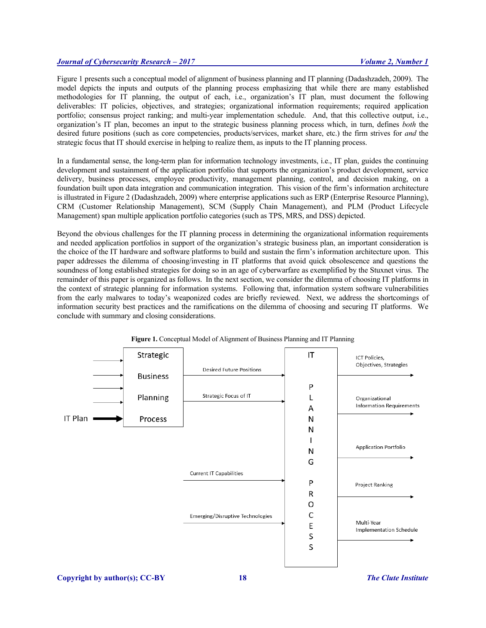Figure 1 presents such a conceptual model of alignment of business planning and IT planning (Dadashzadeh, 2009). The model depicts the inputs and outputs of the planning process emphasizing that while there are many established methodologies for IT planning, the output of each, i.e., organization's IT plan, must document the following deliverables: IT policies, objectives, and strategies; organizational information requirements; required application portfolio; consensus project ranking; and multi-year implementation schedule. And, that this collective output, i.e., organization's IT plan, becomes an input to the strategic business planning process which, in turn, defines *both* the desired future positions (such as core competencies, products/services, market share, etc.) the firm strives for *and* the strategic focus that IT should exercise in helping to realize them, as inputs to the IT planning process.

In a fundamental sense, the long-term plan for information technology investments, i.e., IT plan, guides the continuing development and sustainment of the application portfolio that supports the organization's product development, service delivery, business processes, employee productivity, management planning, control, and decision making, on a foundation built upon data integration and communication integration. This vision of the firm's information architecture is illustrated in Figure 2 (Dadashzadeh, 2009) where enterprise applications such as ERP (Enterprise Resource Planning), CRM (Customer Relationship Management), SCM (Supply Chain Management), and PLM (Product Lifecycle Management) span multiple application portfolio categories (such as TPS, MRS, and DSS) depicted.

Beyond the obvious challenges for the IT planning process in determining the organizational information requirements and needed application portfolios in support of the organization's strategic business plan, an important consideration is the choice of the IT hardware and software platforms to build and sustain the firm's information architecture upon. This paper addresses the dilemma of choosing/investing in IT platforms that avoid quick obsolescence and questions the soundness of long established strategies for doing so in an age of cyberwarfare as exemplified by the Stuxnet virus. The remainder of this paper is organized as follows. In the next section, we consider the dilemma of choosing IT platforms in the context of strategic planning for information systems. Following that, information system software vulnerabilities from the early malwares to today's weaponized codes are briefly reviewed. Next, we address the shortcomings of information security best practices and the ramifications on the dilemma of choosing and securing IT platforms. We conclude with summary and closing considerations.



**Figure 1.** Conceptual Model of Alignment of Business Planning and IT Planning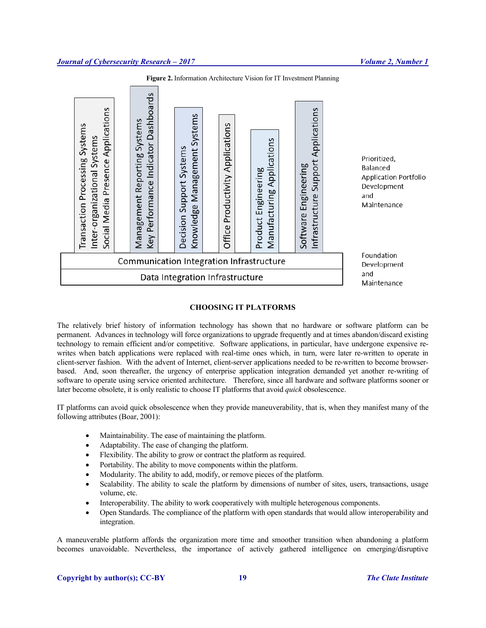

**Figure 2.** Information Architecture Vision for IT Investment Planning

## **CHOOSING IT PLATFORMS**

The relatively brief history of information technology has shown that no hardware or software platform can be permanent. Advances in technology will force organizations to upgrade frequently and at times abandon/discard existing technology to remain efficient and/or competitive. Software applications, in particular, have undergone expensive rewrites when batch applications were replaced with real-time ones which, in turn, were later re-written to operate in client-server fashion. With the advent of Internet, client-server applications needed to be re-written to become browserbased. And, soon thereafter, the urgency of enterprise application integration demanded yet another re-writing of software to operate using service oriented architecture. Therefore, since all hardware and software platforms sooner or later become obsolete, it is only realistic to choose IT platforms that avoid *quick* obsolescence.

IT platforms can avoid quick obsolescence when they provide maneuverability, that is, when they manifest many of the following attributes (Boar, 2001):

- Maintainability. The ease of maintaining the platform.
- Adaptability. The ease of changing the platform.
- Flexibility. The ability to grow or contract the platform as required.
- Portability. The ability to move components within the platform.
- Modularity. The ability to add, modify, or remove pieces of the platform.
- Scalability. The ability to scale the platform by dimensions of number of sites, users, transactions, usage volume, etc.
- Interoperability. The ability to work cooperatively with multiple heterogenous components.
- Open Standards. The compliance of the platform with open standards that would allow interoperability and integration.

A maneuverable platform affords the organization more time and smoother transition when abandoning a platform becomes unavoidable. Nevertheless, the importance of actively gathered intelligence on emerging/disruptive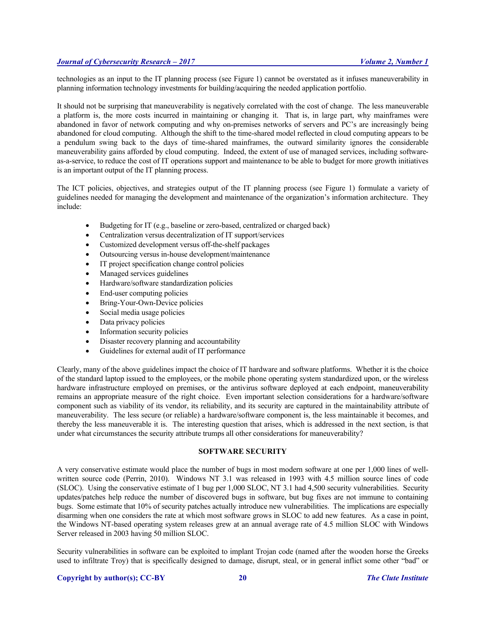technologies as an input to the IT planning process (see Figure 1) cannot be overstated as it infuses maneuverability in planning information technology investments for building/acquiring the needed application portfolio.

It should not be surprising that maneuverability is negatively correlated with the cost of change. The less maneuverable a platform is, the more costs incurred in maintaining or changing it. That is, in large part, why mainframes were abandoned in favor of network computing and why on-premises networks of servers and PC's are increasingly being abandoned for cloud computing. Although the shift to the time-shared model reflected in cloud computing appears to be a pendulum swing back to the days of time-shared mainframes, the outward similarity ignores the considerable maneuverability gains afforded by cloud computing. Indeed, the extent of use of managed services, including softwareas-a-service, to reduce the cost of IT operations support and maintenance to be able to budget for more growth initiatives is an important output of the IT planning process.

The ICT policies, objectives, and strategies output of the IT planning process (see Figure 1) formulate a variety of guidelines needed for managing the development and maintenance of the organization's information architecture. They include:

- Budgeting for IT (e.g., baseline or zero-based, centralized or charged back)
- Centralization versus decentralization of IT support/services
- Customized development versus off-the-shelf packages
- Outsourcing versus in-house development/maintenance
- IT project specification change control policies
- Managed services guidelines
- Hardware/software standardization policies
- End-user computing policies
- Bring-Your-Own-Device policies
- Social media usage policies
- Data privacy policies
- Information security policies
- Disaster recovery planning and accountability
- Guidelines for external audit of IT performance

Clearly, many of the above guidelines impact the choice of IT hardware and software platforms. Whether it is the choice of the standard laptop issued to the employees, or the mobile phone operating system standardized upon, or the wireless hardware infrastructure employed on premises, or the antivirus software deployed at each endpoint, maneuverability remains an appropriate measure of the right choice. Even important selection considerations for a hardware/software component such as viability of its vendor, its reliability, and its security are captured in the maintainability attribute of maneuverability. The less secure (or reliable) a hardware/software component is, the less maintainable it becomes, and thereby the less maneuverable it is. The interesting question that arises, which is addressed in the next section, is that under what circumstances the security attribute trumps all other considerations for maneuverability?

## **SOFTWARE SECURITY**

A very conservative estimate would place the number of bugs in most modern software at one per 1,000 lines of wellwritten source code (Perrin, 2010). Windows NT 3.1 was released in 1993 with 4.5 million source lines of code (SLOC). Using the conservative estimate of 1 bug per 1,000 SLOC, NT 3.1 had 4,500 security vulnerabilities. Security updates/patches help reduce the number of discovered bugs in software, but bug fixes are not immune to containing bugs. Some estimate that 10% of security patches actually introduce new vulnerabilities. The implications are especially disarming when one considers the rate at which most software grows in SLOC to add new features. As a case in point, the Windows NT-based operating system releases grew at an annual average rate of 4.5 million SLOC with Windows Server released in 2003 having 50 million SLOC.

Security vulnerabilities in software can be exploited to implant Trojan code (named after the wooden horse the Greeks used to infiltrate Troy) that is specifically designed to damage, disrupt, steal, or in general inflict some other "bad" or

#### **Copyright by author(s); CC-BY 20** *The Clute Institute*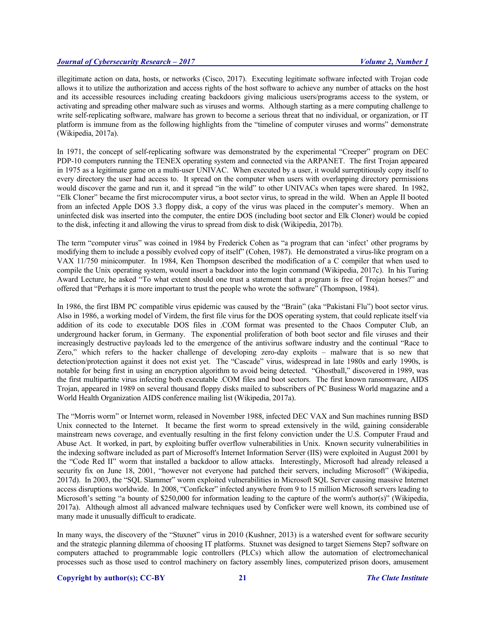illegitimate action on data, hosts, or networks (Cisco, 2017). Executing legitimate software infected with Trojan code allows it to utilize the authorization and access rights of the host software to achieve any number of attacks on the host and its accessible resources including creating backdoors giving malicious users/programs access to the system, or activating and spreading other malware such as viruses and worms. Although starting as a mere computing challenge to write self-replicating software, malware has grown to become a serious threat that no individual, or organization, or IT platform is immune from as the following highlights from the "timeline of computer viruses and worms" demonstrate (Wikipedia, 2017a).

In 1971, the concept of self-replicating software was demonstrated by the experimental "Creeper" program on DEC PDP-10 computers running the TENEX operating system and connected via the ARPANET. The first Trojan appeared in 1975 as a legitimate game on a multi-user UNIVAC. When executed by a user, it would surreptitiously copy itself to every directory the user had access to. It spread on the computer when users with overlapping directory permissions would discover the game and run it, and it spread "in the wild" to other UNIVACs when tapes were shared. In 1982, "Elk Cloner" became the first microcomputer virus, a boot sector virus, to spread in the wild. When an Apple II booted from an infected Apple DOS 3.3 floppy disk, a copy of the virus was placed in the computer's memory. When an uninfected disk was inserted into the computer, the entire DOS (including boot sector and Elk Cloner) would be copied to the disk, infecting it and allowing the virus to spread from disk to disk (Wikipedia, 2017b).

The term "computer virus" was coined in 1984 by Frederick Cohen as "a program that can 'infect' other programs by modifying them to include a possibly evolved copy of itself" (Cohen, 1987). He demonstrated a virus-like program on a VAX 11/750 minicomputer. In 1984, Ken Thompson described the modification of a C compiler that when used to compile the Unix operating system, would insert a backdoor into the login command (Wikipedia, 2017c). In his Turing Award Lecture, he asked "To what extent should one trust a statement that a program is free of Trojan horses?" and offered that "Perhaps it is more important to trust the people who wrote the software" (Thompson, 1984).

In 1986, the first IBM PC compatible virus epidemic was caused by the "Brain" (aka "Pakistani Flu") boot sector virus. Also in 1986, a working model of Virdem, the first file virus for the DOS operating system, that could replicate itself via addition of its code to executable DOS files in .COM format was presented to the Chaos Computer Club, an underground hacker forum, in Germany. The exponential proliferation of both boot sector and file viruses and their increasingly destructive payloads led to the emergence of the antivirus software industry and the continual "Race to Zero," which refers to the hacker challenge of developing zero-day exploits – malware that is so new that detection/protection against it does not exist yet. The "Cascade" virus, widespread in late 1980s and early 1990s, is notable for being first in using an encryption algorithm to avoid being detected. "Ghostball," discovered in 1989, was the first multipartite virus infecting both executable .COM files and boot sectors. The first known ransomware, AIDS Trojan, appeared in 1989 on several thousand floppy disks mailed to subscribers of PC Business World magazine and a World Health Organization AIDS conference mailing list (Wikipedia, 2017a).

The "Morris worm" or Internet worm, released in November 1988, infected DEC VAX and Sun machines running BSD Unix connected to the Internet. It became the first worm to spread extensively in the wild, gaining considerable mainstream news coverage, and eventually resulting in the first felony conviction under the U.S. Computer Fraud and Abuse Act. It worked, in part, by exploiting buffer overflow vulnerabilities in Unix. Known security vulnerabilities in the indexing software included as part of Microsoft's Internet Information Server (IIS) were exploited in August 2001 by the "Code Red II" worm that installed a backdoor to allow attacks. Interestingly, Microsoft had already released a security fix on June 18, 2001, "however not everyone had patched their servers, including Microsoft" (Wikipedia, 2017d). In 2003, the "SQL Slammer" worm exploited vulnerabilities in Microsoft SQL Server causing massive Internet access disruptions worldwide. In 2008, "Conficker" infected anywhere from 9 to 15 million Microsoft servers leading to Microsoft's setting "a bounty of \$250,000 for information leading to the capture of the worm's author(s)" (Wikipedia, 2017a). Although almost all advanced malware techniques used by Conficker were well known, its combined use of many made it unusually difficult to eradicate.

In many ways, the discovery of the "Stuxnet" virus in 2010 (Kushner, 2013) is a watershed event for software security and the strategic planning dilemma of choosing IT platforms. Stuxnet was designed to target Siemens Step7 software on computers attached to programmable logic controllers (PLCs) which allow the automation of electromechanical processes such as those used to control machinery on factory assembly lines, computerized prison doors, amusement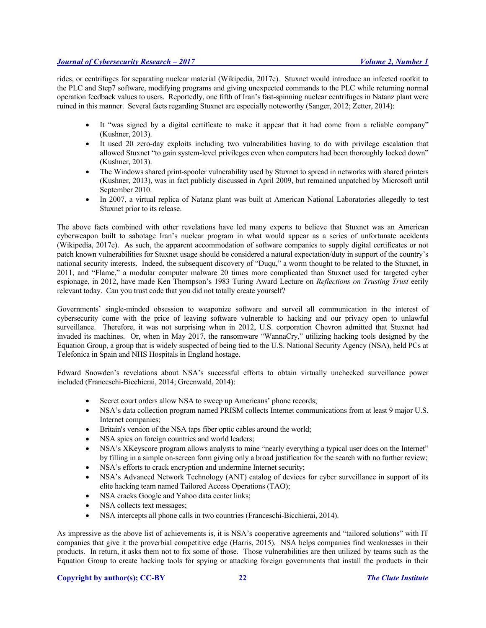rides, or centrifuges for separating nuclear material (Wikipedia, 2017e). Stuxnet would introduce an infected rootkit to the PLC and Step7 software, modifying programs and giving unexpected commands to the PLC while returning normal operation feedback values to users. Reportedly, one fifth of Iran's fast-spinning nuclear centrifuges in Natanz plant were ruined in this manner. Several facts regarding Stuxnet are especially noteworthy (Sanger, 2012; Zetter, 2014):

- It "was signed by a digital certificate to make it appear that it had come from a reliable company" (Kushner, 2013).
- It used 20 zero-day exploits including two vulnerabilities having to do with privilege escalation that allowed Stuxnet "to gain system-level privileges even when computers had been thoroughly locked down" (Kushner, 2013).
- The Windows shared print-spooler vulnerability used by Stuxnet to spread in networks with shared printers (Kushner, 2013), was in fact publicly discussed in April 2009, but remained unpatched by Microsoft until September 2010.
- In 2007, a virtual replica of Natanz plant was built at American National Laboratories allegedly to test Stuxnet prior to its release.

The above facts combined with other revelations have led many experts to believe that Stuxnet was an American cyberweapon built to sabotage Iran's nuclear program in what would appear as a series of unfortunate accidents (Wikipedia, 2017e). As such, the apparent accommodation of software companies to supply digital certificates or not patch known vulnerabilities for Stuxnet usage should be considered a natural expectation/duty in support of the country's national security interests. Indeed, the subsequent discovery of "Duqu," a worm thought to be related to the Stuxnet, in 2011, and "Flame," a modular computer malware 20 times more complicated than Stuxnet used for targeted cyber espionage, in 2012, have made Ken Thompson's 1983 Turing Award Lecture on *Reflections on Trusting Trust* eerily relevant today. Can you trust code that you did not totally create yourself?

Governments' single-minded obsession to weaponize software and surveil all communication in the interest of cybersecurity come with the price of leaving software vulnerable to hacking and our privacy open to unlawful surveillance. Therefore, it was not surprising when in 2012, U.S. corporation Chevron admitted that Stuxnet had invaded its machines. Or, when in May 2017, the ransomware "WannaCry," utilizing hacking tools designed by the Equation Group, a group that is widely suspected of being tied to the U.S. National Security Agency (NSA), held PCs at Telefonica in Spain and NHS Hospitals in England hostage.

Edward Snowden's revelations about NSA's successful efforts to obtain virtually unchecked surveillance power included (Franceschi-Bicchierai, 2014; Greenwald, 2014):

- Secret court orders allow NSA to sweep up Americans' phone records;
- NSA's data collection program named PRISM collects Internet communications from at least 9 major U.S. Internet companies;
- Britain's version of the NSA taps fiber optic cables around the world;
- NSA spies on foreign countries and world leaders;
- NSA's XKeyscore program allows analysts to mine "nearly everything a typical user does on the Internet" by filling in a simple on-screen form giving only a broad justification for the search with no further review;
- NSA's efforts to crack encryption and undermine Internet security;
- NSA's Advanced Network Technology (ANT) catalog of devices for cyber surveillance in support of its elite hacking team named Tailored Access Operations (TAO);
- NSA cracks Google and Yahoo data center links;
- NSA collects text messages;
- NSA intercepts all phone calls in two countries (Franceschi-Bicchierai, 2014).

As impressive as the above list of achievements is, it is NSA's cooperative agreements and "tailored solutions" with IT companies that give it the proverbial competitive edge (Harris, 2015). NSA helps companies find weaknesses in their products. In return, it asks them not to fix some of those. Those vulnerabilities are then utilized by teams such as the Equation Group to create hacking tools for spying or attacking foreign governments that install the products in their

#### **Copyright by author(s); CC-BY 22** *The Clute Institute*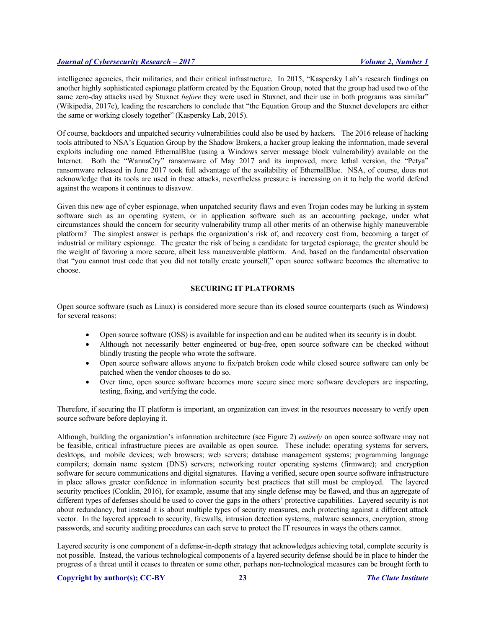intelligence agencies, their militaries, and their critical infrastructure. In 2015, "Kaspersky Lab's research findings on another highly sophisticated espionage platform created by the Equation Group, noted that the group had used two of the same zero-day attacks used by Stuxnet *before* they were used in Stuxnet, and their use in both programs was similar" (Wikipedia, 2017e), leading the researchers to conclude that "the Equation Group and the Stuxnet developers are either the same or working closely together" (Kaspersky Lab, 2015).

Of course, backdoors and unpatched security vulnerabilities could also be used by hackers. The 2016 release of hacking tools attributed to NSA's Equation Group by the Shadow Brokers, a hacker group leaking the information, made several exploits including one named EthernalBlue (using a Windows server message block vulnerability) available on the Internet. Both the "WannaCry" ransomware of May 2017 and its improved, more lethal version, the "Petya" ransomware released in June 2017 took full advantage of the availability of EthernalBlue. NSA, of course, does not acknowledge that its tools are used in these attacks, nevertheless pressure is increasing on it to help the world defend against the weapons it continues to disavow.

Given this new age of cyber espionage, when unpatched security flaws and even Trojan codes may be lurking in system software such as an operating system, or in application software such as an accounting package, under what circumstances should the concern for security vulnerability trump all other merits of an otherwise highly maneuverable platform? The simplest answer is perhaps the organization's risk of, and recovery cost from, becoming a target of industrial or military espionage. The greater the risk of being a candidate for targeted espionage, the greater should be the weight of favoring a more secure, albeit less maneuverable platform. And, based on the fundamental observation that "you cannot trust code that you did not totally create yourself," open source software becomes the alternative to choose.

# **SECURING IT PLATFORMS**

Open source software (such as Linux) is considered more secure than its closed source counterparts (such as Windows) for several reasons:

- Open source software (OSS) is available for inspection and can be audited when its security is in doubt.
- Although not necessarily better engineered or bug-free, open source software can be checked without blindly trusting the people who wrote the software.
- Open source software allows anyone to fix/patch broken code while closed source software can only be patched when the vendor chooses to do so.
- Over time, open source software becomes more secure since more software developers are inspecting, testing, fixing, and verifying the code.

Therefore, if securing the IT platform is important, an organization can invest in the resources necessary to verify open source software before deploying it.

Although, building the organization's information architecture (see Figure 2) *entirely* on open source software may not be feasible, critical infrastructure pieces are available as open source. These include: operating systems for servers, desktops, and mobile devices; web browsers; web servers; database management systems; programming language compilers; domain name system (DNS) servers; networking router operating systems (firmware); and encryption software for secure communications and digital signatures. Having a verified, secure open source software infrastructure in place allows greater confidence in information security best practices that still must be employed. The layered security practices (Conklin, 2016), for example, assume that any single defense may be flawed, and thus an aggregate of different types of defenses should be used to cover the gaps in the others' protective capabilities. Layered security is not about redundancy, but instead it is about multiple types of security measures, each protecting against a different attack vector. In the layered approach to security, firewalls, intrusion detection systems, malware scanners, encryption, strong passwords, and security auditing procedures can each serve to protect the IT resources in ways the others cannot.

Layered security is one component of a defense-in-depth strategy that acknowledges achieving total, complete security is not possible. Instead, the various technological components of a layered security defense should be in place to hinder the progress of a threat until it ceases to threaten or some other, perhaps non-technological measures can be brought forth to

#### **Copyright by author(s); CC-BY 23** *The Clute Institute*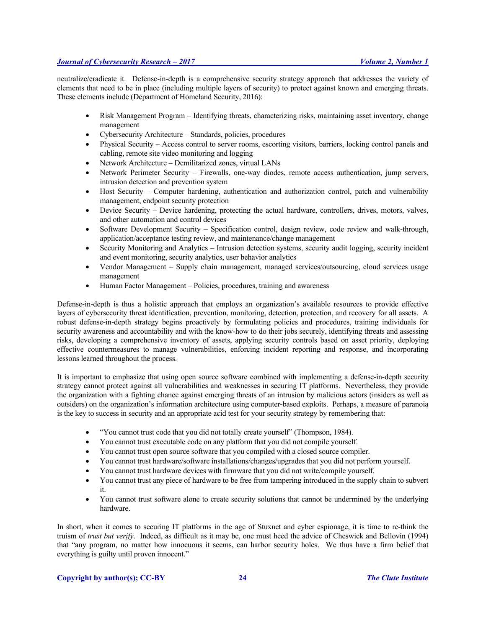neutralize/eradicate it. Defense-in-depth is a comprehensive security strategy approach that addresses the variety of elements that need to be in place (including multiple layers of security) to protect against known and emerging threats. These elements include (Department of Homeland Security, 2016):

- Risk Management Program Identifying threats, characterizing risks, maintaining asset inventory, change management
- Cybersecurity Architecture Standards, policies, procedures
- Physical Security Access control to server rooms, escorting visitors, barriers, locking control panels and cabling, remote site video monitoring and logging
- Network Architecture Demilitarized zones, virtual LANs
- Network Perimeter Security Firewalls, one-way diodes, remote access authentication, jump servers, intrusion detection and prevention system
- Host Security Computer hardening, authentication and authorization control, patch and vulnerability management, endpoint security protection
- Device Security Device hardening, protecting the actual hardware, controllers, drives, motors, valves, and other automation and control devices
- Software Development Security Specification control, design review, code review and walk-through, application/acceptance testing review, and maintenance/change management
- Security Monitoring and Analytics Intrusion detection systems, security audit logging, security incident and event monitoring, security analytics, user behavior analytics
- Vendor Management Supply chain management, managed services/outsourcing, cloud services usage management
- Human Factor Management Policies, procedures, training and awareness

Defense-in-depth is thus a holistic approach that employs an organization's available resources to provide effective layers of cybersecurity threat identification, prevention, monitoring, detection, protection, and recovery for all assets. A robust defense-in-depth strategy begins proactively by formulating policies and procedures, training individuals for security awareness and accountability and with the know-how to do their jobs securely, identifying threats and assessing risks, developing a comprehensive inventory of assets, applying security controls based on asset priority, deploying effective countermeasures to manage vulnerabilities, enforcing incident reporting and response, and incorporating lessons learned throughout the process.

It is important to emphasize that using open source software combined with implementing a defense-in-depth security strategy cannot protect against all vulnerabilities and weaknesses in securing IT platforms. Nevertheless, they provide the organization with a fighting chance against emerging threats of an intrusion by malicious actors (insiders as well as outsiders) on the organization's information architecture using computer-based exploits. Perhaps, a measure of paranoia is the key to success in security and an appropriate acid test for your security strategy by remembering that:

- "You cannot trust code that you did not totally create yourself" (Thompson, 1984).
- You cannot trust executable code on any platform that you did not compile yourself.
- You cannot trust open source software that you compiled with a closed source compiler.
- You cannot trust hardware/software installations/changes/upgrades that you did not perform yourself.
- You cannot trust hardware devices with firmware that you did not write/compile yourself.
- You cannot trust any piece of hardware to be free from tampering introduced in the supply chain to subvert it.
- You cannot trust software alone to create security solutions that cannot be undermined by the underlying hardware.

In short, when it comes to securing IT platforms in the age of Stuxnet and cyber espionage, it is time to re-think the truism of *trust but verify*. Indeed, as difficult as it may be, one must heed the advice of Cheswick and Bellovin (1994) that "any program, no matter how innocuous it seems, can harbor security holes. We thus have a firm belief that everything is guilty until proven innocent."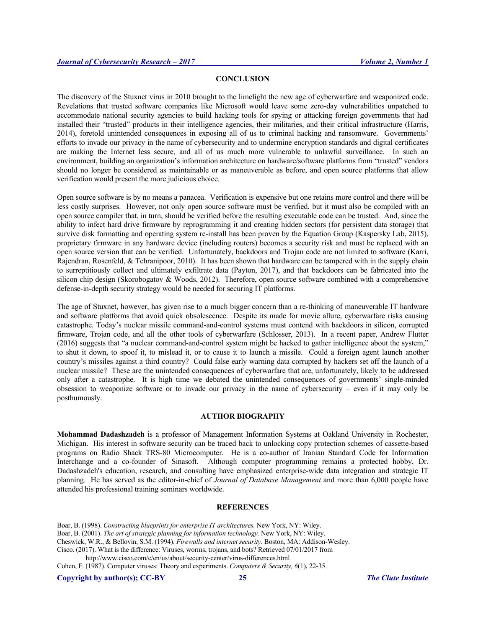# **CONCLUSION**

The discovery of the Stuxnet virus in 2010 brought to the limelight the new age of cyberwarfare and weaponized code. Revelations that trusted software companies like Microsoft would leave some zero-day vulnerabilities unpatched to accommodate national security agencies to build hacking tools for spying or attacking foreign governments that had installed their "trusted" products in their intelligence agencies, their militaries, and their critical infrastructure (Harris, 2014), foretold unintended consequences in exposing all of us to criminal hacking and ransomware. Governments' efforts to invade our privacy in the name of cybersecurity and to undermine encryption standards and digital certificates are making the Internet less secure, and all of us much more vulnerable to unlawful surveillance. In such an environment, building an organization's information architecture on hardware/software platforms from "trusted" vendors should no longer be considered as maintainable or as maneuverable as before, and open source platforms that allow verification would present the more judicious choice.

Open source software is by no means a panacea. Verification is expensive but one retains more control and there will be less costly surprises. However, not only open source software must be verified, but it must also be compiled with an open source compiler that, in turn, should be verified before the resulting executable code can be trusted. And, since the ability to infect hard drive firmware by reprogramming it and creating hidden sectors (for persistent data storage) that survive disk formatting and operating system re-install has been proven by the Equation Group (Kaspersky Lab, 2015), proprietary firmware in any hardware device (including routers) becomes a security risk and must be replaced with an open source version that can be verified. Unfortunately, backdoors and Trojan code are not limited to software (Karri, Rajendran, Rosenfeld, & Tehranipoor, 2010). It has been shown that hardware can be tampered with in the supply chain to surreptitiously collect and ultimately exfiltrate data (Payton, 2017), and that backdoors can be fabricated into the silicon chip design (Skorobogatov & Woods, 2012). Therefore, open source software combined with a comprehensive defense-in-depth security strategy would be needed for securing IT platforms.

The age of Stuxnet, however, has given rise to a much bigger concern than a re-thinking of maneuverable IT hardware and software platforms that avoid quick obsolescence. Despite its made for movie allure, cyberwarfare risks causing catastrophe. Today's nuclear missile command-and-control systems must contend with backdoors in silicon, corrupted firmware, Trojan code, and all the other tools of cyberwarfare (Schlosser, 2013). In a recent paper, Andrew Flutter (2016) suggests that "a nuclear command-and-control system might be hacked to gather intelligence about the system," to shut it down, to spoof it, to mislead it, or to cause it to launch a missile. Could a foreign agent launch another country's missiles against a third country? Could false early warning data corrupted by hackers set off the launch of a nuclear missile? These are the unintended consequences of cyberwarfare that are, unfortunately, likely to be addressed only after a catastrophe. It is high time we debated the unintended consequences of governments' single-minded obsession to weaponize software or to invade our privacy in the name of cybersecurity – even if it may only be posthumously.

# **AUTHOR BIOGRAPHY**

**Mohammad Dadashzadeh** is a professor of Management Information Systems at Oakland University in Rochester, Michigan. His interest in software security can be traced back to unlocking copy protection schemes of cassette-based programs on Radio Shack TRS-80 Microcomputer. He is a co-author of Iranian Standard Code for Information Interchange and a co-founder of Sinasoft. Although computer programming remains a protected hobby, Dr. Dadashzadeh's education, research, and consulting have emphasized enterprise-wide data integration and strategic IT planning. He has served as the editor-in-chief of *Journal of Database Management* and more than 6,000 people have attended his professional training seminars worldwide.

#### **REFERENCES**

Boar, B. (1998). *Constructing blueprints for enterprise IT architectures.* New York, NY: Wiley.

Boar, B. (2001). *The art of strategic planning for information technology.* New York, NY: Wiley.

Cheswick, W.R., & Bellovin, S.M. (1994). *Firewalls and internet security.* Boston, MA: Addison-Wesley.

Cisco. (2017). What is the difference: Viruses, worms, trojans, and bots? Retrieved 07/01/2017 from

http://www.cisco.com/c/en/us/about/security-center/virus-differences.html

Cohen, F. (1987). Computer viruses: Theory and experiments. *Computers & Security, 6*(1), 22-35.

**Copyright by author(s); CC-BY 25** *The Clute Institute*